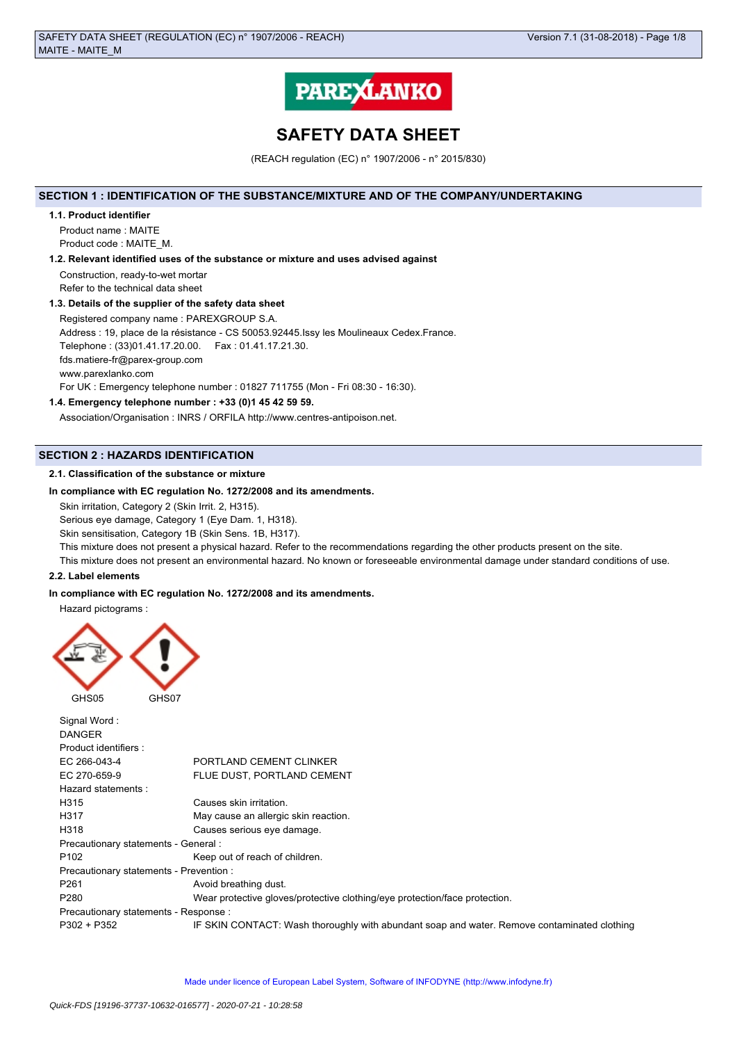

# **SAFETY DATA SHEET**

(REACH regulation (EC) n° 1907/2006 - n° 2015/830)

## **SECTION 1 : IDENTIFICATION OF THE SUBSTANCE/MIXTURE AND OF THE COMPANY/UNDERTAKING**

#### **1.1. Product identifier**

Product name : MAITE Product code : MAITE\_M.

## **1.2. Relevant identified uses of the substance or mixture and uses advised against**

Construction, ready-to-wet mortar Refer to the technical data sheet

#### **1.3. Details of the supplier of the safety data sheet**

Registered company name : PAREXGROUP S.A. Address : 19, place de la résistance - CS 50053.92445.Issy les Moulineaux Cedex.France. Telephone : (33)01.41.17.20.00. Fax : 01.41.17.21.30. fds.matiere-fr@parex-group.com www.parexlanko.com For UK : Emergency telephone number : 01827 711755 (Mon - Fri 08:30 - 16:30).

## **1.4. Emergency telephone number : +33 (0)1 45 42 59 59.**

Association/Organisation : INRS / ORFILA http://www.centres-antipoison.net.

## **SECTION 2 : HAZARDS IDENTIFICATION**

## **2.1. Classification of the substance or mixture**

## **In compliance with EC regulation No. 1272/2008 and its amendments.**

Skin irritation, Category 2 (Skin Irrit. 2, H315).

Serious eye damage, Category 1 (Eye Dam. 1, H318).

Skin sensitisation, Category 1B (Skin Sens. 1B, H317).

This mixture does not present a physical hazard. Refer to the recommendations regarding the other products present on the site.

This mixture does not present an environmental hazard. No known or foreseeable environmental damage under standard conditions of use.

## **2.2. Label elements**

## **In compliance with EC regulation No. 1272/2008 and its amendments.**

Hazard pictograms :



| Signal Word:<br><b>DANGER</b>           |                                                                                             |
|-----------------------------------------|---------------------------------------------------------------------------------------------|
| Product identifiers:                    |                                                                                             |
| EC 266-043-4                            | PORTLAND CEMENT CLINKER                                                                     |
| EC 270-659-9                            | FLUE DUST. PORTLAND CEMENT                                                                  |
| Hazard statements:                      |                                                                                             |
| H315                                    | Causes skin irritation.                                                                     |
| H317                                    | May cause an allergic skin reaction.                                                        |
| H318                                    | Causes serious eye damage.                                                                  |
| Precautionary statements - General :    |                                                                                             |
| P <sub>102</sub>                        | Keep out of reach of children.                                                              |
| Precautionary statements - Prevention : |                                                                                             |
| P <sub>261</sub>                        | Avoid breathing dust.                                                                       |
| P <sub>280</sub>                        | Wear protective gloves/protective clothing/eye protection/face protection.                  |
| Precautionary statements - Response :   |                                                                                             |
| $P302 + P352$                           | IF SKIN CONTACT: Wash thoroughly with abundant soap and water. Remove contaminated clothing |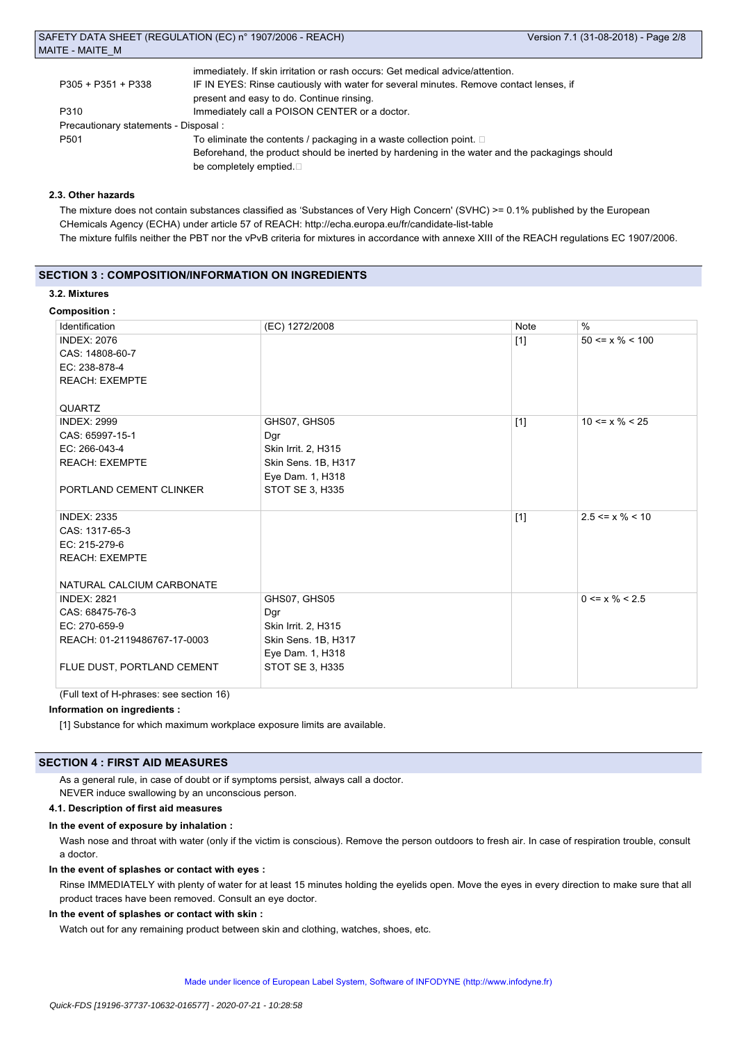| immediately. If skin irritation or rash occurs: Get medical advice/attention.                 |
|-----------------------------------------------------------------------------------------------|
| IF IN EYES: Rinse cautiously with water for several minutes. Remove contact lenses, if        |
| present and easy to do. Continue rinsing.                                                     |
| Immediately call a POISON CENTER or a doctor.                                                 |
| Precautionary statements - Disposal :                                                         |
| To eliminate the contents / packaging in a waste collection point.                            |
| Beforehand, the product should be inerted by hardening in the water and the packagings should |
| be completely emptied.                                                                        |
|                                                                                               |

## **2.3. Other hazards**

The mixture does not contain substances classified as 'Substances of Very High Concern' (SVHC) >= 0.1% published by the European CHemicals Agency (ECHA) under article 57 of REACH: http://echa.europa.eu/fr/candidate-list-table The mixture fulfils neither the PBT nor the vPvB criteria for mixtures in accordance with annexe XIII of the REACH regulations EC 1907/2006.

## **SECTION 3 : COMPOSITION/INFORMATION ON INGREDIENTS**

## **3.2. Mixtures**

## **Composition :**

| Identification               | (EC) 1272/2008         | Note  | $\%$                  |
|------------------------------|------------------------|-------|-----------------------|
| <b>INDEX: 2076</b>           |                        | $[1]$ | $50 \le x \% \le 100$ |
| CAS: 14808-60-7              |                        |       |                       |
| EC: 238-878-4                |                        |       |                       |
| <b>REACH: EXEMPTE</b>        |                        |       |                       |
|                              |                        |       |                       |
| QUARTZ                       |                        |       |                       |
| <b>INDEX: 2999</b>           | GHS07, GHS05           | $[1]$ | $10 \le x \% \le 25$  |
| CAS: 65997-15-1              | Dgr                    |       |                       |
| EC: 266-043-4                | Skin Irrit. 2, H315    |       |                       |
| <b>REACH: EXEMPTE</b>        | Skin Sens. 1B, H317    |       |                       |
|                              | Eye Dam. 1, H318       |       |                       |
| PORTLAND CEMENT CLINKER      | STOT SE 3, H335        |       |                       |
|                              |                        |       |                       |
| <b>INDEX: 2335</b>           |                        | $[1]$ | $2.5 \le x \% \le 10$ |
| CAS: 1317-65-3               |                        |       |                       |
| EC: 215-279-6                |                        |       |                       |
| <b>REACH: EXEMPTE</b>        |                        |       |                       |
|                              |                        |       |                       |
| NATURAL CALCIUM CARBONATE    |                        |       |                       |
| <b>INDEX: 2821</b>           | GHS07, GHS05           |       | $0 \le x \% \le 2.5$  |
| CAS: 68475-76-3              | Dgr                    |       |                       |
| EC: 270-659-9                | Skin Irrit. 2, H315    |       |                       |
| REACH: 01-2119486767-17-0003 | Skin Sens. 1B, H317    |       |                       |
|                              | Eye Dam. 1, H318       |       |                       |
| FLUE DUST, PORTLAND CEMENT   | <b>STOT SE 3, H335</b> |       |                       |
|                              |                        |       |                       |

(Full text of H-phrases: see section 16)

## **Information on ingredients :**

[1] Substance for which maximum workplace exposure limits are available.

#### **SECTION 4 : FIRST AID MEASURES**

As a general rule, in case of doubt or if symptoms persist, always call a doctor.

NEVER induce swallowing by an unconscious person.

## **4.1. Description of first aid measures**

#### **In the event of exposure by inhalation :**

Wash nose and throat with water (only if the victim is conscious). Remove the person outdoors to fresh air. In case of respiration trouble, consult a doctor.

#### **In the event of splashes or contact with eyes :**

Rinse IMMEDIATELY with plenty of water for at least 15 minutes holding the eyelids open. Move the eyes in every direction to make sure that all product traces have been removed. Consult an eye doctor.

## **In the event of splashes or contact with skin :**

Watch out for any remaining product between skin and clothing, watches, shoes, etc.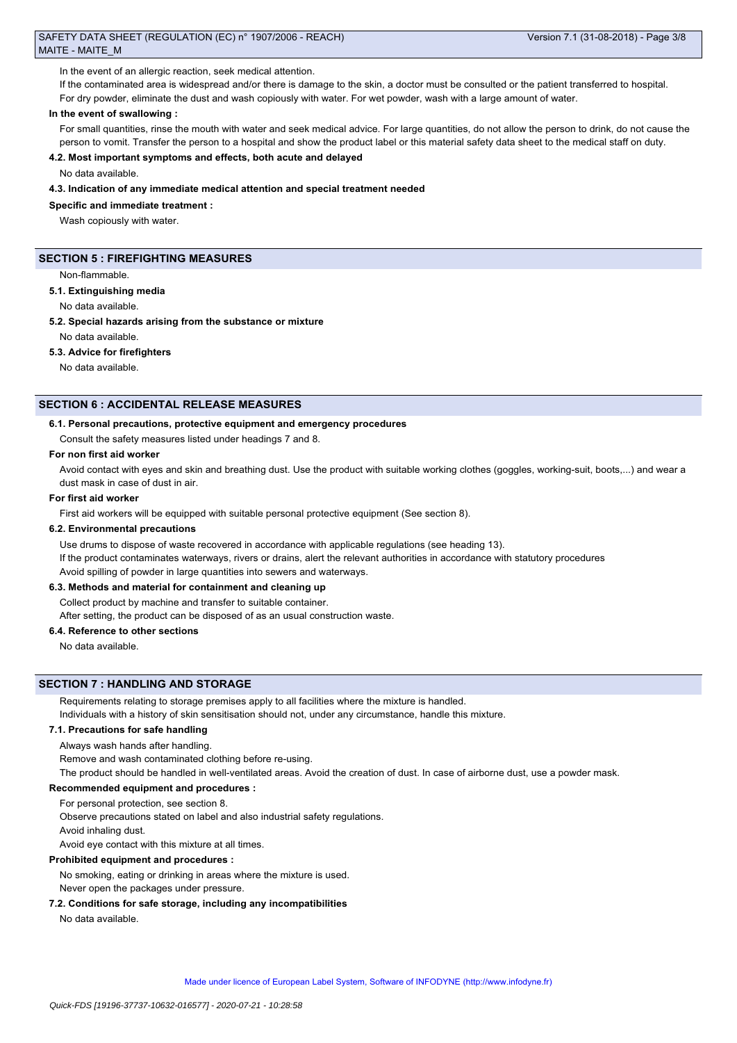In the event of an allergic reaction, seek medical attention.

If the contaminated area is widespread and/or there is damage to the skin, a doctor must be consulted or the patient transferred to hospital.

For dry powder, eliminate the dust and wash copiously with water. For wet powder, wash with a large amount of water.

#### **In the event of swallowing :**

For small quantities, rinse the mouth with water and seek medical advice. For large quantities, do not allow the person to drink, do not cause the person to vomit. Transfer the person to a hospital and show the product label or this material safety data sheet to the medical staff on duty.

## **4.2. Most important symptoms and effects, both acute and delayed**

No data available.

**4.3. Indication of any immediate medical attention and special treatment needed**

#### **Specific and immediate treatment :**

Wash copiously with water.

#### **SECTION 5 : FIREFIGHTING MEASURES**

Non-flammable.

#### **5.1. Extinguishing media**

No data available.

**5.2. Special hazards arising from the substance or mixture**

No data available.

#### **5.3. Advice for firefighters**

No data available.

#### **SECTION 6 : ACCIDENTAL RELEASE MEASURES**

#### **6.1. Personal precautions, protective equipment and emergency procedures**

Consult the safety measures listed under headings 7 and 8.

#### **For non first aid worker**

Avoid contact with eyes and skin and breathing dust. Use the product with suitable working clothes (goggles, working-suit, boots,...) and wear a dust mask in case of dust in air.

#### **For first aid worker**

First aid workers will be equipped with suitable personal protective equipment (See section 8).

#### **6.2. Environmental precautions**

Use drums to dispose of waste recovered in accordance with applicable regulations (see heading 13). If the product contaminates waterways, rivers or drains, alert the relevant authorities in accordance with statutory procedures Avoid spilling of powder in large quantities into sewers and waterways.

#### **6.3. Methods and material for containment and cleaning up**

Collect product by machine and transfer to suitable container.

After setting, the product can be disposed of as an usual construction waste.

## **6.4. Reference to other sections**

No data available.

#### **SECTION 7 : HANDLING AND STORAGE**

Requirements relating to storage premises apply to all facilities where the mixture is handled. Individuals with a history of skin sensitisation should not, under any circumstance, handle this mixture.

#### **7.1. Precautions for safe handling**

Always wash hands after handling.

Remove and wash contaminated clothing before re-using.

The product should be handled in well-ventilated areas. Avoid the creation of dust. In case of airborne dust, use a powder mask.

#### **Recommended equipment and procedures :**

For personal protection, see section 8.

Observe precautions stated on label and also industrial safety regulations.

Avoid inhaling dust.

Avoid eye contact with this mixture at all times.

#### **Prohibited equipment and procedures :**

No smoking, eating or drinking in areas where the mixture is used.

Never open the packages under pressure.

#### **7.2. Conditions for safe storage, including any incompatibilities**

No data available.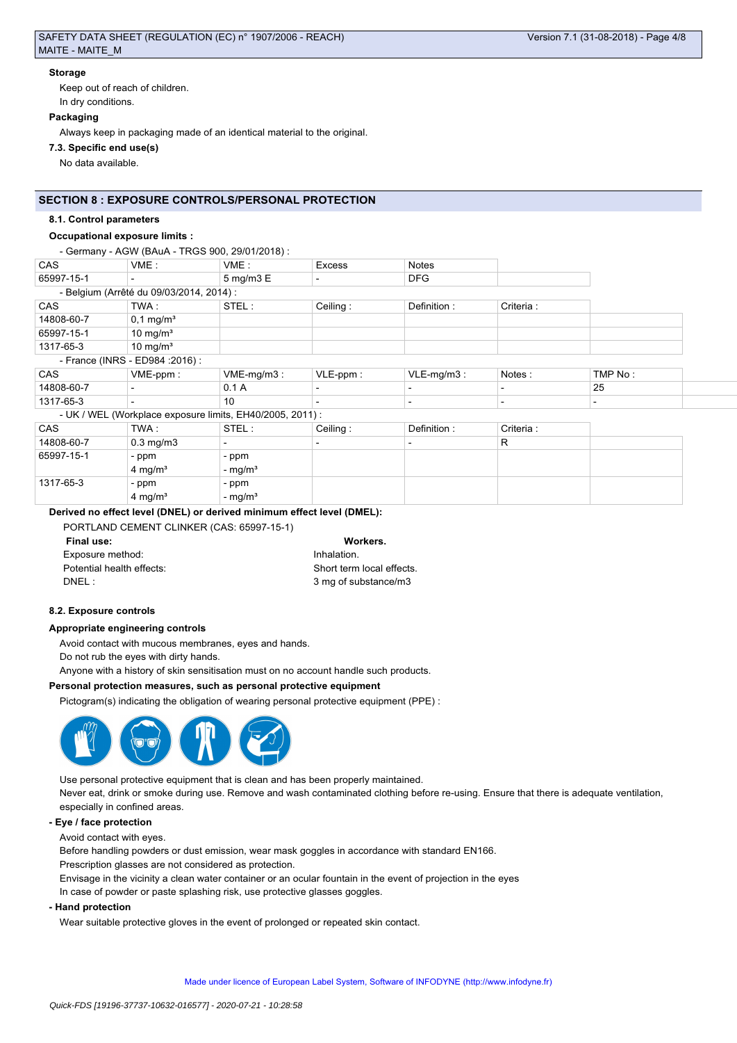# **Storage**

Keep out of reach of children.

# In dry conditions.

# **Packaging**

Always keep in packaging made of an identical material to the original.

# **7.3. Specific end use(s)**

No data available.

# **SECTION 8 : EXPOSURE CONTROLS/PERSONAL PROTECTION**

# **8.1. Control parameters**

# **Occupational exposure limits :**

## - Germany - AGW (BAuA - TRGS 900, 29/01/2018) :

| CAS                              | VME:                                     | VME:                           | <b>Excess</b> | <b>Notes</b> |            |  |
|----------------------------------|------------------------------------------|--------------------------------|---------------|--------------|------------|--|
| 65997-15-1                       |                                          | $5 \text{ mg/m}$ $3 \text{ E}$ |               | <b>DFG</b>   |            |  |
|                                  | - Belgium (Arrêté du 09/03/2014, 2014) : |                                |               |              |            |  |
| <b>CAS</b>                       | TWA :                                    | STEL:                          | Ceiling:      | Definition:  | Criteria : |  |
| 14808-60-7                       | $0,1 \,\mathrm{mg/m^3}$                  |                                |               |              |            |  |
| 65997-15-1                       | 10 mg/m $3$                              |                                |               |              |            |  |
| 1317-65-3                        | 10 mg/ $m3$                              |                                |               |              |            |  |
| - France (INRS - ED984 : 2016) : |                                          |                                |               |              |            |  |

| CAS        | VME-ppm: | VME-mg/m3: | $\mathsf{VLE}\text{-}\mathsf{p}\mathsf{p}\mathsf{m}$ . | $VLE-ma/m3$ : | Notes | TMP No:      |
|------------|----------|------------|--------------------------------------------------------|---------------|-------|--------------|
| 14808-60-7 |          | v.         |                                                        |               |       | 25<br>$\sim$ |
| 1317-65-3  |          | 10         |                                                        |               |       |              |

# - UK / WEL (Workplace exposure limits, EH40/2005, 2011) :

| CAS        | TWA :                | STEL:     | Ceiling: | Definition: | Criteria: |  |
|------------|----------------------|-----------|----------|-------------|-----------|--|
| 14808-60-7 | $0.3 \text{ mg/m}$ 3 |           |          |             | R         |  |
| 65997-15-1 | - ppm                | - ppm     |          |             |           |  |
|            | $4 \text{ mg/m}^3$   | - $mg/m3$ |          |             |           |  |
| 1317-65-3  | - ppm                | - ppm     |          |             |           |  |
|            | $4 \text{ mg/m}^3$   | - $mg/m3$ |          |             |           |  |

# **Derived no effect level (DNEL) or derived minimum effect level (DMEL):**

| Workers.                  |
|---------------------------|
| Inhalation.               |
| Short term local effects. |
| 3 mg of substance/m3      |
|                           |

## Workers.

| Inhalation.             |
|-------------------------|
| Short term local effect |
| 3 mg of substance/m3    |

## **8.2. Exposure controls**

## **Appropriate engineering controls**

Avoid contact with mucous membranes, eyes and hands.

Do not rub the eyes with dirty hands.

Anyone with a history of skin sensitisation must on no account handle such products.

## **Personal protection measures, such as personal protective equipment**

Pictogram(s) indicating the obligation of wearing personal protective equipment (PPE) :



Use personal protective equipment that is clean and has been properly maintained. Never eat, drink or smoke during use. Remove and wash contaminated clothing before re-using. Ensure that there is adequate ventilation, especially in confined areas.

## **- Eye / face protection**

Avoid contact with eyes.

Before handling powders or dust emission, wear mask goggles in accordance with standard EN166.

Prescription glasses are not considered as protection.

Envisage in the vicinity a clean water container or an ocular fountain in the event of projection in the eyes

In case of powder or paste splashing risk, use protective glasses goggles.

## **- Hand protection**

Wear suitable protective gloves in the event of prolonged or repeated skin contact.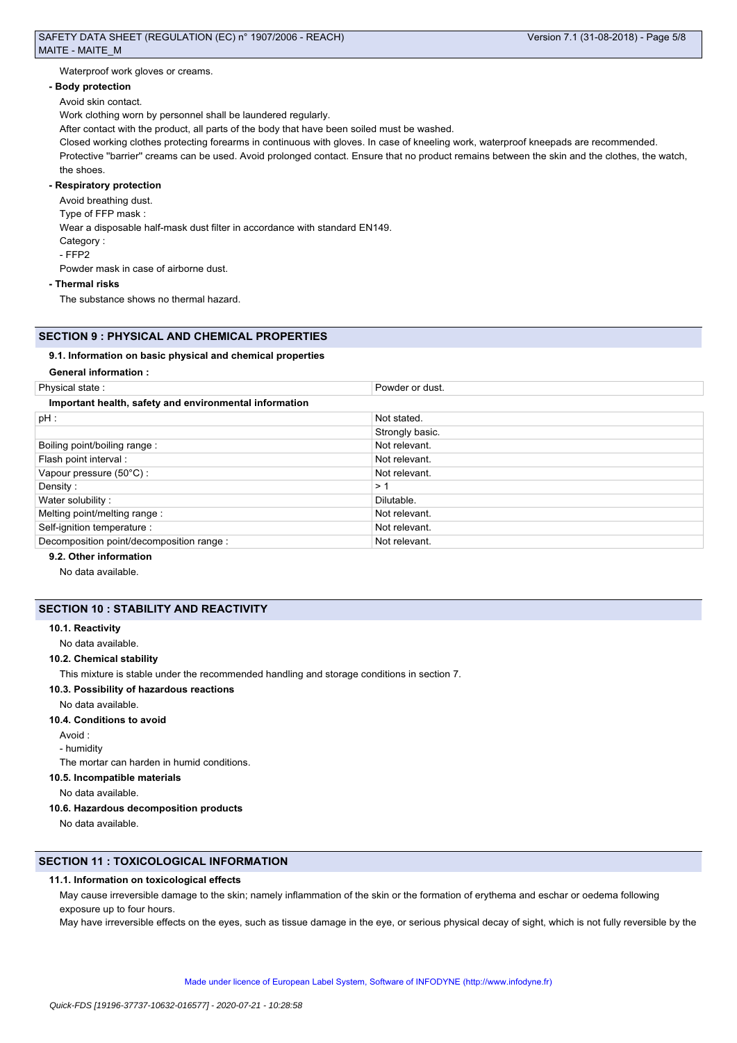Waterproof work gloves or creams.

#### **- Body protection**

Avoid skin contact.

Work clothing worn by personnel shall be laundered regularly.

After contact with the product, all parts of the body that have been soiled must be washed.

Closed working clothes protecting forearms in continuous with gloves. In case of kneeling work, waterproof kneepads are recommended. Protective "barrier" creams can be used. Avoid prolonged contact. Ensure that no product remains between the skin and the clothes, the watch, the shoes.

## **- Respiratory protection**

Avoid breathing dust.

Type of FFP mask :

Wear a disposable half-mask dust filter in accordance with standard EN149.

Category :

- FFP2

Powder mask in case of airborne dust.

#### **- Thermal risks**

The substance shows no thermal hazard.

## **SECTION 9 : PHYSICAL AND CHEMICAL PROPERTIES**

#### **9.1. Information on basic physical and chemical properties**

#### **General information :**

| Physical state:                                        | Powder or dust. |
|--------------------------------------------------------|-----------------|
| Important health, safety and environmental information |                 |
| $pH$ :                                                 | Not stated.     |
|                                                        | Strongly basic. |
| Boiling point/boiling range:                           | Not relevant.   |
| Flash point interval :                                 | Not relevant.   |
| Vapour pressure (50°C):                                | Not relevant.   |
| Density:                                               | >1              |
| Water solubility:                                      | Dilutable.      |
| Melting point/melting range:                           | Not relevant.   |
| Self-ignition temperature :                            | Not relevant.   |
| Decomposition point/decomposition range :              | Not relevant.   |

## **9.2. Other information**

No data available.

## **SECTION 10 : STABILITY AND REACTIVITY**

#### **10.1. Reactivity**

No data available.

#### **10.2. Chemical stability**

This mixture is stable under the recommended handling and storage conditions in section 7.

#### **10.3. Possibility of hazardous reactions**

No data available.

#### **10.4. Conditions to avoid**

Avoid :

- humidity

The mortar can harden in humid conditions.

## **10.5. Incompatible materials**

No data available.

#### **10.6. Hazardous decomposition products**

No data available.

## **SECTION 11 : TOXICOLOGICAL INFORMATION**

## **11.1. Information on toxicological effects**

May cause irreversible damage to the skin; namely inflammation of the skin or the formation of erythema and eschar or oedema following exposure up to four hours.

May have irreversible effects on the eyes, such as tissue damage in the eye, or serious physical decay of sight, which is not fully reversible by the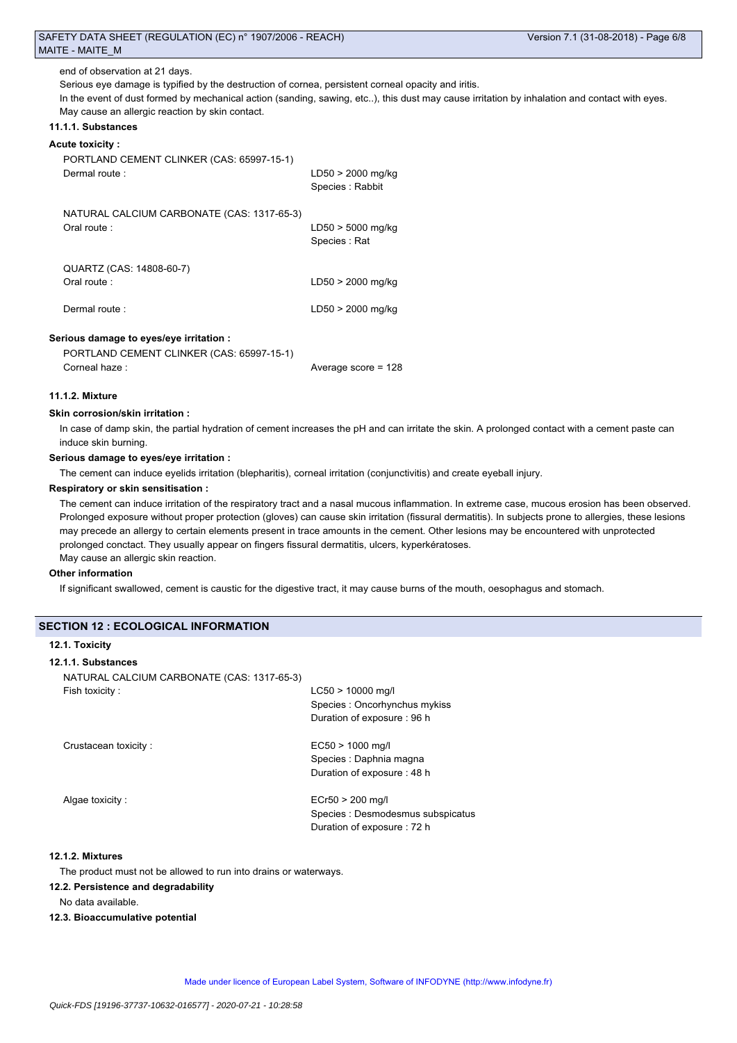end of observation at 21 days.

Serious eye damage is typified by the destruction of cornea, persistent corneal opacity and iritis.

In the event of dust formed by mechanical action (sanding, sawing, etc..), this dust may cause irritation by inhalation and contact with eyes. May cause an allergic reaction by skin contact.

## **11.1.1. Substances**

### **Acute toxicity :**

| PORTLAND CEMENT CLINKER (CAS: 65997-15-1)<br>Dermal route:                                            | LD50 > 2000 mg/kg<br>Species: Rabbit |
|-------------------------------------------------------------------------------------------------------|--------------------------------------|
| NATURAL CALCIUM CARBONATE (CAS: 1317-65-3)<br>Oral route:                                             | $LD50 > 5000$ mg/kg<br>Species : Rat |
| QUARTZ (CAS: 14808-60-7)<br>Oral route:                                                               | LD50 > 2000 mg/kg                    |
| Dermal route:                                                                                         | LD50 > 2000 mg/kg                    |
| Serious damage to eyes/eye irritation :<br>PORTLAND CEMENT CLINKER (CAS: 65997-15-1)<br>Corneal haze: | Average score = $128$                |

#### **11.1.2. Mixture**

#### **Skin corrosion/skin irritation :**

In case of damp skin, the partial hydration of cement increases the pH and can irritate the skin. A prolonged contact with a cement paste can induce skin burning.

#### **Serious damage to eyes/eye irritation :**

The cement can induce eyelids irritation (blepharitis), corneal irritation (conjunctivitis) and create eyeball injury.

#### **Respiratory or skin sensitisation :**

The cement can induce irritation of the respiratory tract and a nasal mucous inflammation. In extreme case, mucous erosion has been observed. Prolonged exposure without proper protection (gloves) can cause skin irritation (fissural dermatitis). In subjects prone to allergies, these lesions may precede an allergy to certain elements present in trace amounts in the cement. Other lesions may be encountered with unprotected prolonged conctact. They usually appear on fingers fissural dermatitis, ulcers, kyperkératoses. May cause an allergic skin reaction.

#### **Other information**

If significant swallowed, cement is caustic for the digestive tract, it may cause burns of the mouth, oesophagus and stomach.

#### **SECTION 12 : ECOLOGICAL INFORMATION**

### **12.1. Toxicity**

#### **12.1.1. Substances**

| NATURAL CALCIUM CARBONATE (CAS: 1317-65-3) |                                                                 |
|--------------------------------------------|-----------------------------------------------------------------|
| Fish toxicity:                             | $LC50 > 10000$ mg/l                                             |
|                                            | Species: Oncorhynchus mykiss                                    |
|                                            | Duration of exposure: 96 h                                      |
| Crustacean toxicity:                       | $EC50 > 1000$ mg/l                                              |
|                                            | Species : Daphnia magna                                         |
|                                            | Duration of exposure: 48 h                                      |
| Algae toxicity:                            | $ECr50 > 200$ mg/l                                              |
|                                            | Species : Desmodesmus subspicatus<br>Duration of exposure: 72 h |
|                                            |                                                                 |

#### **12.1.2. Mixtures**

The product must not be allowed to run into drains or waterways.

#### **12.2. Persistence and degradability**

No data available.

#### **12.3. Bioaccumulative potential**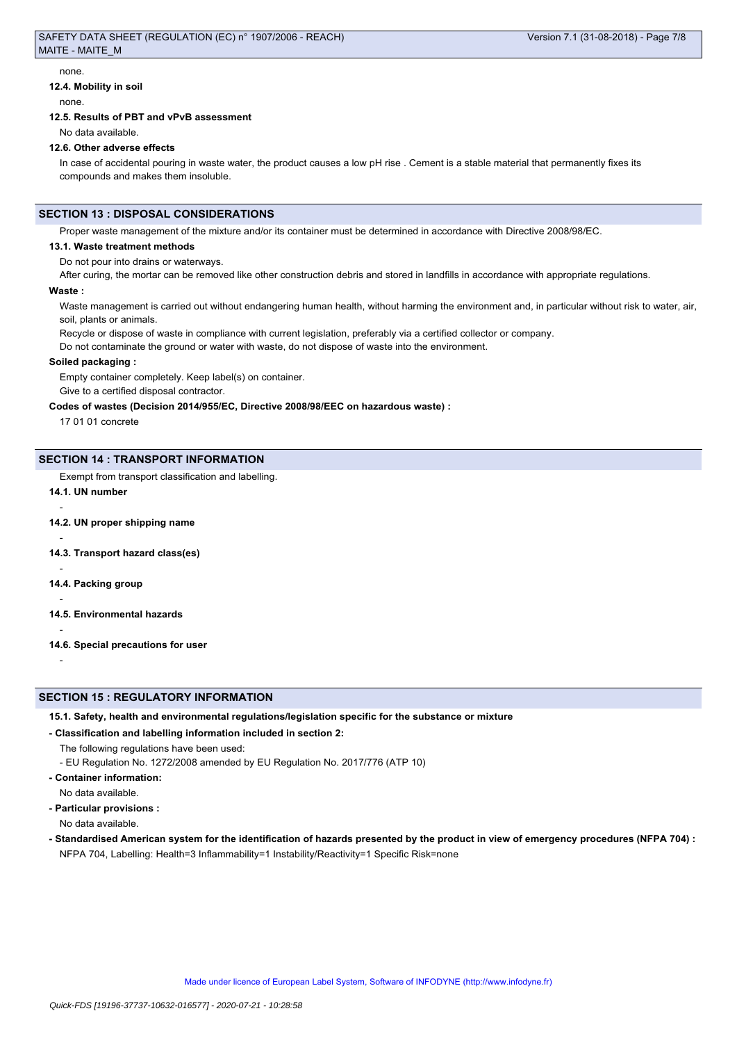none.

#### **12.4. Mobility in soil**

none.

#### **12.5. Results of PBT and vPvB assessment**

No data available.

#### **12.6. Other adverse effects**

In case of accidental pouring in waste water, the product causes a low pH rise . Cement is a stable material that permanently fixes its compounds and makes them insoluble.

## **SECTION 13 : DISPOSAL CONSIDERATIONS**

Proper waste management of the mixture and/or its container must be determined in accordance with Directive 2008/98/EC.

#### **13.1. Waste treatment methods**

Do not pour into drains or waterways.

After curing, the mortar can be removed like other construction debris and stored in landfills in accordance with appropriate regulations.

#### **Waste :**

Waste management is carried out without endangering human health, without harming the environment and, in particular without risk to water, air, soil, plants or animals.

Recycle or dispose of waste in compliance with current legislation, preferably via a certified collector or company.

Do not contaminate the ground or water with waste, do not dispose of waste into the environment.

#### **Soiled packaging :**

Empty container completely. Keep label(s) on container.

Give to a certified disposal contractor.

**Codes of wastes (Decision 2014/955/EC, Directive 2008/98/EEC on hazardous waste) :**

17 01 01 concrete

#### **SECTION 14 : TRANSPORT INFORMATION**

Exempt from transport classification and labelling.

# **14.1. UN number**

-

-

-

-

-

-

**14.2. UN proper shipping name**

**14.3. Transport hazard class(es)**

**14.4. Packing group**

- **14.5. Environmental hazards**
- **14.6. Special precautions for user**

## **SECTION 15 : REGULATORY INFORMATION**

**15.1. Safety, health and environmental regulations/legislation specific for the substance or mixture**

**- Classification and labelling information included in section 2:**

The following regulations have been used:

- EU Regulation No. 1272/2008 amended by EU Regulation No. 2017/776 (ATP 10)

**- Container information:**

- No data available.
- **Particular provisions :**

No data available.

**- Standardised American system for the identification of hazards presented by the product in view of emergency procedures (NFPA 704) :** NFPA 704, Labelling: Health=3 Inflammability=1 Instability/Reactivity=1 Specific Risk=none